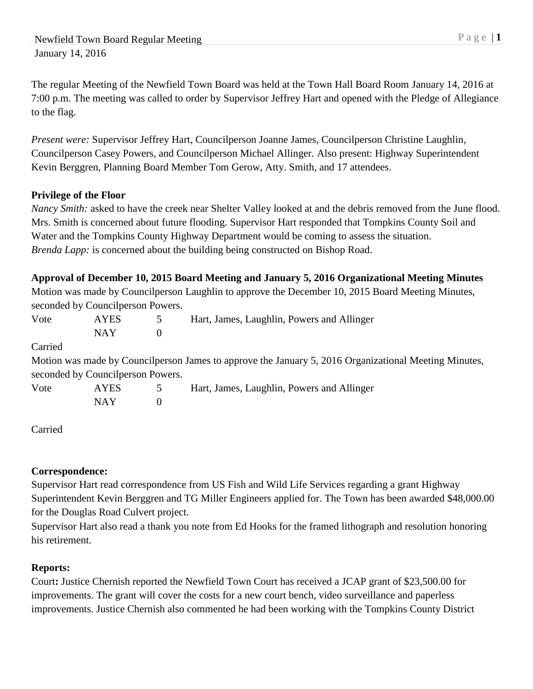The regular Meeting of the Newfield Town Board was held at the Town Hall Board Room January 14, 2016 at 7:00 p.m. The meeting was called to order by Supervisor Jeffrey Hart and opened with the Pledge of Allegiance to the flag.

*Present were:* Supervisor Jeffrey Hart, Councilperson Joanne James, Councilperson Christine Laughlin, Councilperson Casey Powers, and Councilperson Michael Allinger. Also present: Highway Superintendent Kevin Berggren, Planning Board Member Tom Gerow, Atty. Smith, and 17 attendees.

# **Privilege of the Floor**

*Nancy Smith:* asked to have the creek near Shelter Valley looked at and the debris removed from the June flood. Mrs. Smith is concerned about future flooding. Supervisor Hart responded that Tompkins County Soil and Water and the Tompkins County Highway Department would be coming to assess the situation. *Brenda Lapp:* is concerned about the building being constructed on Bishop Road.

|         |                                    |          | Approval of December 10, 2015 Board Meeting and January 5, 2016 Organizational Meeting Minutes        |
|---------|------------------------------------|----------|-------------------------------------------------------------------------------------------------------|
|         |                                    |          | Motion was made by Councilperson Laughlin to approve the December 10, 2015 Board Meeting Minutes,     |
|         | seconded by Council person Powers. |          |                                                                                                       |
| Vote    | <b>AYES</b>                        | 5        | Hart, James, Laughlin, Powers and Allinger                                                            |
|         | <b>NAY</b>                         | $\theta$ |                                                                                                       |
| Carried |                                    |          |                                                                                                       |
|         |                                    |          | Motion was made by Councilperson James to approve the January 5, 2016 Organizational Meeting Minutes, |
|         | seconded by Council person Powers. |          |                                                                                                       |
| Vote    | <b>AYES</b>                        | 5        | Hart, James, Laughlin, Powers and Allinger                                                            |
|         | <b>NAY</b>                         | $\theta$ |                                                                                                       |
|         |                                    |          |                                                                                                       |

Carried

# **Correspondence:**

Supervisor Hart read correspondence from US Fish and Wild Life Services regarding a grant Highway Superintendent Kevin Berggren and TG Miller Engineers applied for. The Town has been awarded \$48,000.00 for the Douglas Road Culvert project.

Supervisor Hart also read a thank you note from Ed Hooks for the framed lithograph and resolution honoring his retirement.

# **Reports:**

Court**:** Justice Chernish reported the Newfield Town Court has received a JCAP grant of \$23,500.00 for improvements. The grant will cover the costs for a new court bench, video surveillance and paperless improvements. Justice Chernish also commented he had been working with the Tompkins County District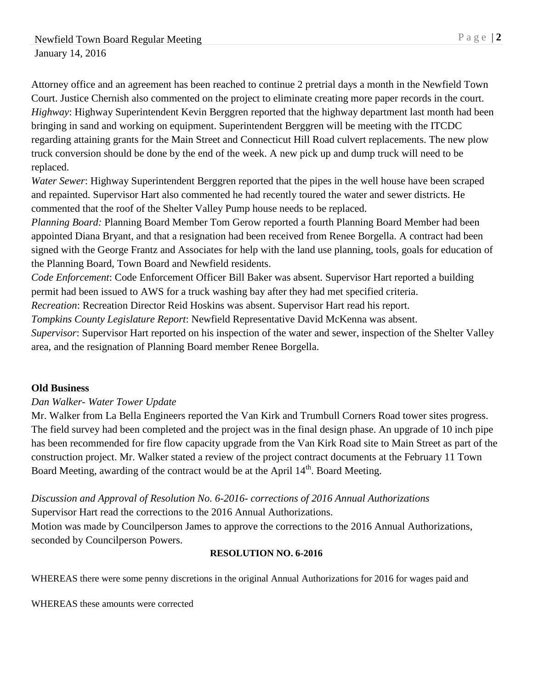Attorney office and an agreement has been reached to continue 2 pretrial days a month in the Newfield Town Court. Justice Chernish also commented on the project to eliminate creating more paper records in the court. *Highway*: Highway Superintendent Kevin Berggren reported that the highway department last month had been bringing in sand and working on equipment. Superintendent Berggren will be meeting with the ITCDC regarding attaining grants for the Main Street and Connecticut Hill Road culvert replacements. The new plow truck conversion should be done by the end of the week. A new pick up and dump truck will need to be replaced.

*Water Sewer*: Highway Superintendent Berggren reported that the pipes in the well house have been scraped and repainted. Supervisor Hart also commented he had recently toured the water and sewer districts. He commented that the roof of the Shelter Valley Pump house needs to be replaced.

*Planning Board:* Planning Board Member Tom Gerow reported a fourth Planning Board Member had been appointed Diana Bryant, and that a resignation had been received from Renee Borgella. A contract had been signed with the George Frantz and Associates for help with the land use planning, tools, goals for education of the Planning Board, Town Board and Newfield residents.

*Code Enforcement*: Code Enforcement Officer Bill Baker was absent. Supervisor Hart reported a building permit had been issued to AWS for a truck washing bay after they had met specified criteria.

*Recreation*: Recreation Director Reid Hoskins was absent. Supervisor Hart read his report.

*Tompkins County Legislature Report*: Newfield Representative David McKenna was absent.

*Supervisor*: Supervisor Hart reported on his inspection of the water and sewer, inspection of the Shelter Valley area, and the resignation of Planning Board member Renee Borgella.

# **Old Business**

## *Dan Walker- Water Tower Update*

Mr. Walker from La Bella Engineers reported the Van Kirk and Trumbull Corners Road tower sites progress. The field survey had been completed and the project was in the final design phase. An upgrade of 10 inch pipe has been recommended for fire flow capacity upgrade from the Van Kirk Road site to Main Street as part of the construction project. Mr. Walker stated a review of the project contract documents at the February 11 Town Board Meeting, awarding of the contract would be at the April 14<sup>th</sup>. Board Meeting.

# *Discussion and Approval of Resolution No. 6-2016- corrections of 2016 Annual Authorizations* Supervisor Hart read the corrections to the 2016 Annual Authorizations.

Motion was made by Councilperson James to approve the corrections to the 2016 Annual Authorizations, seconded by Councilperson Powers.

## **RESOLUTION NO. 6-2016**

WHEREAS there were some penny discretions in the original Annual Authorizations for 2016 for wages paid and

WHEREAS these amounts were corrected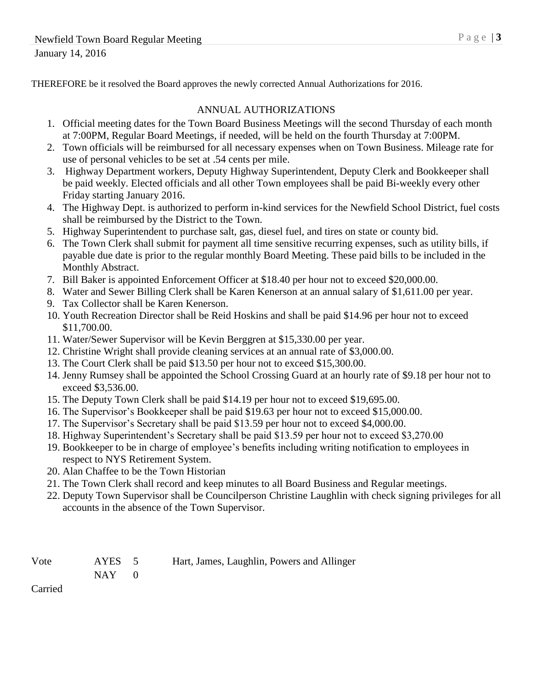THEREFORE be it resolved the Board approves the newly corrected Annual Authorizations for 2016.

## ANNUAL AUTHORIZATIONS

- 1. Official meeting dates for the Town Board Business Meetings will the second Thursday of each month at 7:00PM, Regular Board Meetings, if needed, will be held on the fourth Thursday at 7:00PM.
- 2. Town officials will be reimbursed for all necessary expenses when on Town Business. Mileage rate for use of personal vehicles to be set at .54 cents per mile.
- 3. Highway Department workers, Deputy Highway Superintendent, Deputy Clerk and Bookkeeper shall be paid weekly. Elected officials and all other Town employees shall be paid Bi-weekly every other Friday starting January 2016.
- 4. The Highway Dept. is authorized to perform in-kind services for the Newfield School District, fuel costs shall be reimbursed by the District to the Town.
- 5. Highway Superintendent to purchase salt, gas, diesel fuel, and tires on state or county bid.
- 6. The Town Clerk shall submit for payment all time sensitive recurring expenses, such as utility bills, if payable due date is prior to the regular monthly Board Meeting. These paid bills to be included in the Monthly Abstract.
- 7. Bill Baker is appointed Enforcement Officer at \$18.40 per hour not to exceed \$20,000.00.
- 8. Water and Sewer Billing Clerk shall be Karen Kenerson at an annual salary of \$1,611.00 per year.
- 9. Tax Collector shall be Karen Kenerson.
- 10. Youth Recreation Director shall be Reid Hoskins and shall be paid \$14.96 per hour not to exceed \$11,700.00.
- 11. Water/Sewer Supervisor will be Kevin Berggren at \$15,330.00 per year.
- 12. Christine Wright shall provide cleaning services at an annual rate of \$3,000.00.
- 13. The Court Clerk shall be paid \$13.50 per hour not to exceed \$15,300.00.
- 14. Jenny Rumsey shall be appointed the School Crossing Guard at an hourly rate of \$9.18 per hour not to exceed \$3,536.00.
- 15. The Deputy Town Clerk shall be paid \$14.19 per hour not to exceed \$19,695.00.
- 16. The Supervisor's Bookkeeper shall be paid \$19.63 per hour not to exceed \$15,000.00.
- 17. The Supervisor's Secretary shall be paid \$13.59 per hour not to exceed \$4,000.00.
- 18. Highway Superintendent's Secretary shall be paid \$13.59 per hour not to exceed \$3,270.00
- 19. Bookkeeper to be in charge of employee's benefits including writing notification to employees in respect to NYS Retirement System.
- 20. Alan Chaffee to be the Town Historian
- 21. The Town Clerk shall record and keep minutes to all Board Business and Regular meetings.
- 22. Deputy Town Supervisor shall be Councilperson Christine Laughlin with check signing privileges for all accounts in the absence of the Town Supervisor.

AYES 5 Hart, James, Laughlin, Powers and Allinger

 $NAY$  0

Carried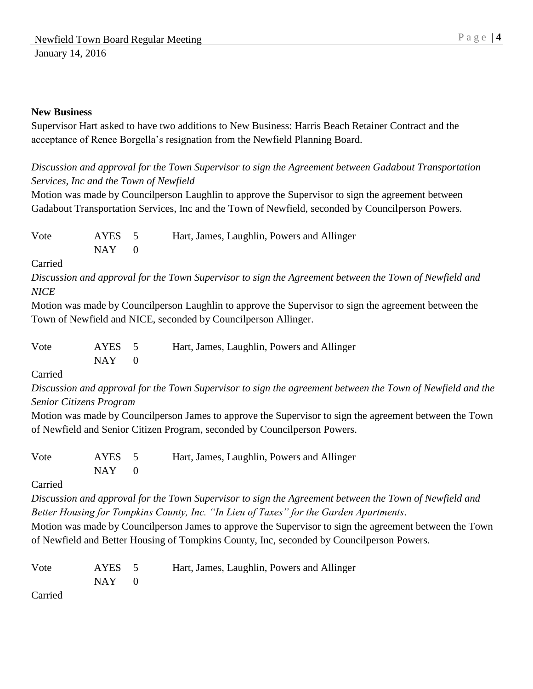#### **New Business**

Supervisor Hart asked to have two additions to New Business: Harris Beach Retainer Contract and the acceptance of Renee Borgella's resignation from the Newfield Planning Board.

# *Discussion and approval for the Town Supervisor to sign the Agreement between Gadabout Transportation Services, Inc and the Town of Newfield*

Motion was made by Councilperson Laughlin to approve the Supervisor to sign the agreement between Gadabout Transportation Services, Inc and the Town of Newfield, seconded by Councilperson Powers.

| Vote | AYES 5    | Hart, James, Laughlin, Powers and Allinger |
|------|-----------|--------------------------------------------|
|      | $NAY = 0$ |                                            |

Carried

*Discussion and approval for the Town Supervisor to sign the Agreement between the Town of Newfield and NICE*

Motion was made by Councilperson Laughlin to approve the Supervisor to sign the agreement between the Town of Newfield and NICE, seconded by Councilperson Allinger.

| Vote | AYES 5 | Hart, James, Laughlin, Powers and Allinger |
|------|--------|--------------------------------------------|
|      | NAY 1  |                                            |

Carried

*Discussion and approval for the Town Supervisor to sign the agreement between the Town of Newfield and the Senior Citizens Program*

Motion was made by Councilperson James to approve the Supervisor to sign the agreement between the Town of Newfield and Senior Citizen Program, seconded by Councilperson Powers.

| Vote | AYES 5  | Hart, James, Laughlin, Powers and Allinger |
|------|---------|--------------------------------------------|
|      | $NAY$ 0 |                                            |

Carried

*Discussion and approval for the Town Supervisor to sign the Agreement between the Town of Newfield and Better Housing for Tompkins County, Inc. "In Lieu of Taxes" for the Garden Apartments*.

Motion was made by Councilperson James to approve the Supervisor to sign the agreement between the Town of Newfield and Better Housing of Tompkins County, Inc, seconded by Councilperson Powers.

| Vote | AYES 5  | Hart, James, Laughlin, Powers and Allinger |
|------|---------|--------------------------------------------|
|      | $NAY$ 0 |                                            |

Carried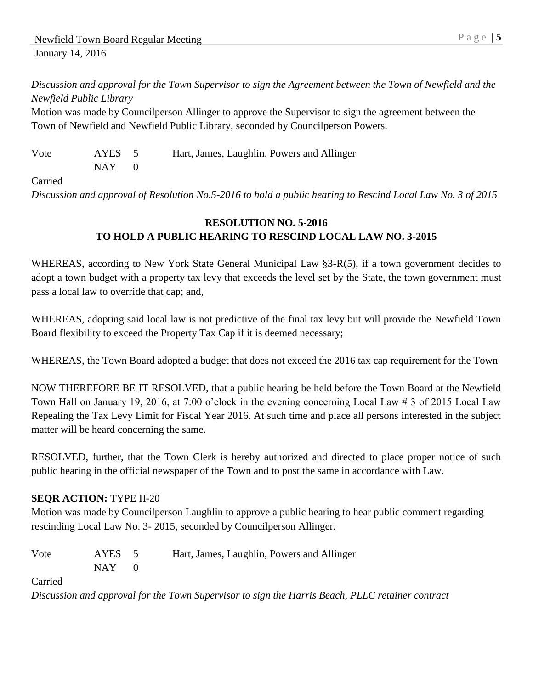*Discussion and approval for the Town Supervisor to sign the Agreement between the Town of Newfield and the Newfield Public Library*

Motion was made by Councilperson Allinger to approve the Supervisor to sign the agreement between the Town of Newfield and Newfield Public Library, seconded by Councilperson Powers.

| Vote | AYES 5  | Hart, James, Laughlin, Powers and Allinger |
|------|---------|--------------------------------------------|
|      | $NAY$ 0 |                                            |

#### Carried

*Discussion and approval of Resolution No.5-2016 to hold a public hearing to Rescind Local Law No. 3 of 2015*

# **RESOLUTION NO. 5-2016 TO HOLD A PUBLIC HEARING TO RESCIND LOCAL LAW NO. 3-2015**

WHEREAS, according to New York State General Municipal Law §3-R(5), if a town government decides to adopt a town budget with a property tax levy that exceeds the level set by the State, the town government must pass a local law to override that cap; and,

WHEREAS, adopting said local law is not predictive of the final tax levy but will provide the Newfield Town Board flexibility to exceed the Property Tax Cap if it is deemed necessary;

WHEREAS, the Town Board adopted a budget that does not exceed the 2016 tax cap requirement for the Town

NOW THEREFORE BE IT RESOLVED, that a public hearing be held before the Town Board at the Newfield Town Hall on January 19, 2016, at 7:00 o'clock in the evening concerning Local Law # 3 of 2015 Local Law Repealing the Tax Levy Limit for Fiscal Year 2016. At such time and place all persons interested in the subject matter will be heard concerning the same.

RESOLVED, further, that the Town Clerk is hereby authorized and directed to place proper notice of such public hearing in the official newspaper of the Town and to post the same in accordance with Law.

## **SEQR ACTION:** TYPE II-20

Motion was made by Councilperson Laughlin to approve a public hearing to hear public comment regarding rescinding Local Law No. 3- 2015, seconded by Councilperson Allinger.

| Vote | AYES 5    | Hart, James, Laughlin, Powers and Allinger |
|------|-----------|--------------------------------------------|
|      | $NAY = 0$ |                                            |

Carried

*Discussion and approval for the Town Supervisor to sign the Harris Beach, PLLC retainer contract*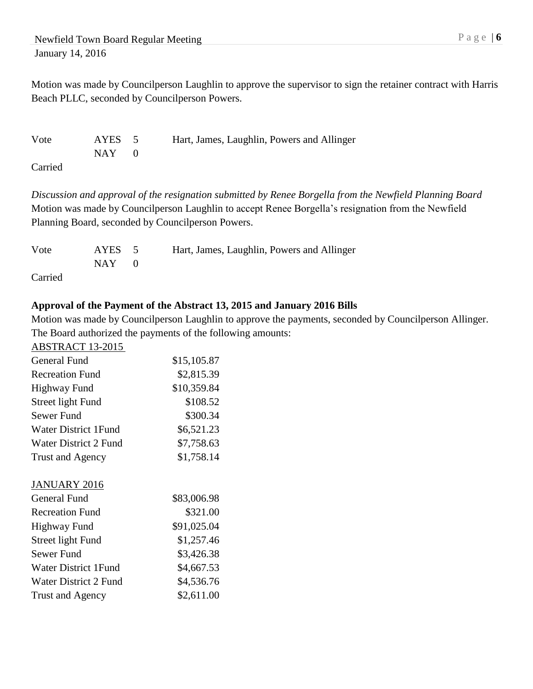Motion was made by Councilperson Laughlin to approve the supervisor to sign the retainer contract with Harris Beach PLLC, seconded by Councilperson Powers.

| Vote                                  | AYES 5  | Hart, James, Laughlin, Powers and Allinger |
|---------------------------------------|---------|--------------------------------------------|
|                                       | $NAY$ 0 |                                            |
| $\sim$ $\cdot$ $\cdot$ $\sim$ $\cdot$ |         |                                            |

Carried

*Discussion and approval of the resignation submitted by Renee Borgella from the Newfield Planning Board* Motion was made by Councilperson Laughlin to accept Renee Borgella's resignation from the Newfield Planning Board, seconded by Councilperson Powers.

| Vote    | AYES 5    | Hart, James, Laughlin, Powers and Allinger |
|---------|-----------|--------------------------------------------|
|         | $NAY = 0$ |                                            |
| Carried |           |                                            |

## **Approval of the Payment of the Abstract 13, 2015 and January 2016 Bills**

Motion was made by Councilperson Laughlin to approve the payments, seconded by Councilperson Allinger. The Board authorized the payments of the following amounts:

| <b>ABSTRACT 13-2015</b>      |             |
|------------------------------|-------------|
| <b>General Fund</b>          | \$15,105.87 |
| <b>Recreation Fund</b>       | \$2,815.39  |
| <b>Highway Fund</b>          | \$10,359.84 |
| Street light Fund            | \$108.52    |
| Sewer Fund                   | \$300.34    |
| <b>Water District 1Fund</b>  | \$6,521.23  |
| <b>Water District 2 Fund</b> | \$7,758.63  |
| Trust and Agency             | \$1,758.14  |
| <b>JANUARY 2016</b>          |             |
| General Fund                 | \$83,006.98 |
| <b>Recreation Fund</b>       | \$321.00    |
| Highway Fund                 | \$91,025.04 |
| Street light Fund            | \$1,257.46  |
| <b>Sewer Fund</b>            | \$3,426.38  |
| <b>Water District 1Fund</b>  | \$4,667.53  |
| Water District 2 Fund        | \$4,536.76  |
| Trust and Agency             | \$2,611.00  |